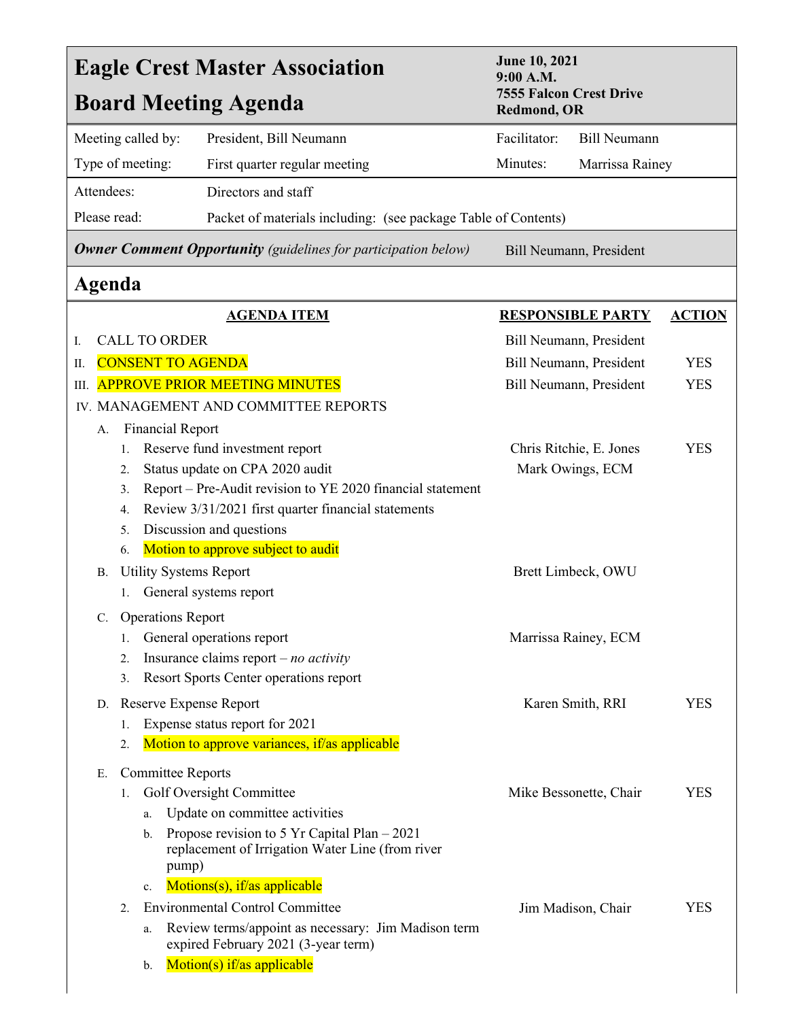| <b>Eagle Crest Master Association</b>         | <b>June 10, 2021</b><br>9:00 A.M.<br><b>7555 Falcon Crest Drive</b>                      |                         |                          |               |
|-----------------------------------------------|------------------------------------------------------------------------------------------|-------------------------|--------------------------|---------------|
| <b>Board Meeting Agenda</b>                   |                                                                                          | <b>Redmond, OR</b>      |                          |               |
| Meeting called by:<br>President, Bill Neumann |                                                                                          | Facilitator:            | <b>Bill Neumann</b>      |               |
| Type of meeting:                              | First quarter regular meeting                                                            | Minutes:                | Marrissa Rainey          |               |
| Attendees:                                    | Directors and staff                                                                      |                         |                          |               |
| Please read:                                  | Packet of materials including: (see package Table of Contents)                           |                         |                          |               |
|                                               | <b>Owner Comment Opportunity</b> (guidelines for participation below)                    |                         | Bill Neumann, President  |               |
| Agenda                                        |                                                                                          |                         |                          |               |
|                                               | <b>AGENDA ITEM</b>                                                                       |                         | <b>RESPONSIBLE PARTY</b> | <b>ACTION</b> |
| <b>CALL TO ORDER</b><br>I.                    |                                                                                          |                         | Bill Neumann, President  |               |
| <b>CONSENT TO AGENDA</b><br>П.                |                                                                                          | Bill Neumann, President |                          | <b>YES</b>    |
| Ш.                                            | <b>APPROVE PRIOR MEETING MINUTES</b>                                                     |                         | Bill Neumann, President  | <b>YES</b>    |
|                                               | IV. MANAGEMENT AND COMMITTEE REPORTS                                                     |                         |                          |               |
| <b>Financial Report</b><br>А.                 |                                                                                          |                         |                          |               |
| 1.                                            | Reserve fund investment report                                                           |                         | Chris Ritchie, E. Jones  | <b>YES</b>    |
| 2.                                            | Status update on CPA 2020 audit                                                          |                         | Mark Owings, ECM         |               |
| 3.                                            | Report – Pre-Audit revision to YE 2020 financial statement                               |                         |                          |               |
| 4.                                            | Review 3/31/2021 first quarter financial statements                                      |                         |                          |               |
| 5.                                            | Discussion and questions                                                                 |                         |                          |               |
| 6.                                            | Motion to approve subject to audit                                                       |                         |                          |               |
| <b>Utility Systems Report</b><br>В.           |                                                                                          | Brett Limbeck, OWU      |                          |               |
| 1.                                            | General systems report                                                                   |                         |                          |               |
| <b>Operations Report</b><br>$C_{\cdot}$       |                                                                                          |                         |                          |               |
| 1.                                            | General operations report                                                                |                         | Marrissa Rainey, ECM     |               |
| 2.<br>3.                                      | Insurance claims report $- no$ <i>activity</i><br>Resort Sports Center operations report |                         |                          |               |
|                                               |                                                                                          |                         |                          |               |
| D. Reserve Expense Report                     | Expense status report for 2021                                                           |                         | Karen Smith, RRI         | <b>YES</b>    |
| 1.<br>2.                                      | Motion to approve variances, if/as applicable                                            |                         |                          |               |
| <b>Committee Reports</b><br>Е.                |                                                                                          |                         |                          |               |
| 1.                                            | Golf Oversight Committee                                                                 |                         | Mike Bessonette, Chair   | <b>YES</b>    |
| a.                                            | Update on committee activities                                                           |                         |                          |               |
| b.                                            | Propose revision to 5 Yr Capital Plan $-2021$                                            |                         |                          |               |
|                                               | replacement of Irrigation Water Line (from river                                         |                         |                          |               |
| pump)                                         | Motions(s), if/as applicable                                                             |                         |                          |               |
| c.<br>2.                                      | <b>Environmental Control Committee</b>                                                   |                         |                          | <b>YES</b>    |
| a.                                            | Review terms/appoint as necessary: Jim Madison term                                      |                         | Jim Madison, Chair       |               |
|                                               | expired February 2021 (3-year term)                                                      |                         |                          |               |
| b.                                            | Motion(s) if/as applicable                                                               |                         |                          |               |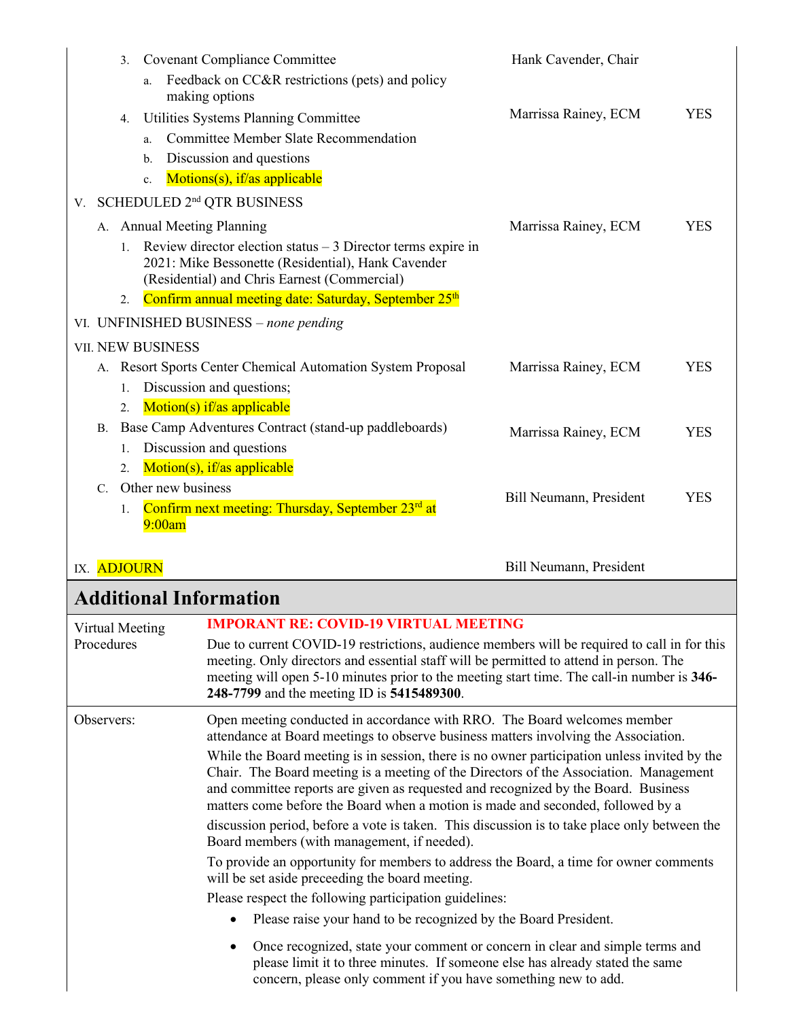|                                                                                     |             | 3. | <b>Covenant Compliance Committee</b>                                                                                                                                  | Hank Cavender, Chair    |            |
|-------------------------------------------------------------------------------------|-------------|----|-----------------------------------------------------------------------------------------------------------------------------------------------------------------------|-------------------------|------------|
|                                                                                     |             |    | Feedback on CC&R restrictions (pets) and policy<br>a.<br>making options                                                                                               |                         |            |
|                                                                                     |             | 4. | Utilities Systems Planning Committee                                                                                                                                  | Marrissa Rainey, ECM    | <b>YES</b> |
|                                                                                     |             |    | <b>Committee Member Slate Recommendation</b><br>a.                                                                                                                    |                         |            |
|                                                                                     |             |    | Discussion and questions<br>b.                                                                                                                                        |                         |            |
|                                                                                     |             |    | Motions(s), if/as applicable<br>c.                                                                                                                                    |                         |            |
| V.                                                                                  |             |    | SCHEDULED 2 <sup>nd</sup> QTR BUSINESS                                                                                                                                |                         |            |
|                                                                                     |             |    | A. Annual Meeting Planning                                                                                                                                            | Marrissa Rainey, ECM    | YES        |
|                                                                                     |             |    | 1. Review director election status - 3 Director terms expire in<br>2021: Mike Bessonette (Residential), Hank Cavender<br>(Residential) and Chris Earnest (Commercial) |                         |            |
|                                                                                     |             | 2. | Confirm annual meeting date: Saturday, September 25 <sup>th</sup>                                                                                                     |                         |            |
|                                                                                     |             |    | VI. UNFINISHED BUSINESS - none pending                                                                                                                                |                         |            |
|                                                                                     |             |    | <b>VII. NEW BUSINESS</b>                                                                                                                                              |                         |            |
| A. Resort Sports Center Chemical Automation System Proposal<br>Marrissa Rainey, ECM |             |    | <b>YES</b>                                                                                                                                                            |                         |            |
|                                                                                     |             | 1. | Discussion and questions;                                                                                                                                             |                         |            |
|                                                                                     |             | 2. | Motion(s) if/as applicable                                                                                                                                            |                         |            |
|                                                                                     | <b>B.</b>   |    | Base Camp Adventures Contract (stand-up paddleboards)                                                                                                                 | Marrissa Rainey, ECM    | <b>YES</b> |
|                                                                                     |             | 1. | Discussion and questions                                                                                                                                              |                         |            |
|                                                                                     |             | 2. | Motion(s), if/as applicable                                                                                                                                           |                         |            |
|                                                                                     | $C_{\cdot}$ |    | Other new business                                                                                                                                                    | Bill Neumann, President | <b>YES</b> |
|                                                                                     |             | 1. | Confirm next meeting: Thursday, September 23rd at<br>9:00am                                                                                                           |                         |            |
|                                                                                     |             |    |                                                                                                                                                                       |                         |            |

IX. ADJOURN Bill Neumann, President

## **Additional Information**

| Virtual Meeting<br>Procedures | <b>IMPORANT RE: COVID-19 VIRTUAL MEETING</b><br>Due to current COVID-19 restrictions, audience members will be required to call in for this<br>meeting. Only directors and essential staff will be permitted to attend in person. The<br>meeting will open 5-10 minutes prior to the meeting start time. The call-in number is 346-<br>248-7799 and the meeting ID is 5415489300.                                                                                                                                                                                                                                                                                                                                                                                                                                                                                                                                                                                                                                                                                                                                                                                                                                      |
|-------------------------------|------------------------------------------------------------------------------------------------------------------------------------------------------------------------------------------------------------------------------------------------------------------------------------------------------------------------------------------------------------------------------------------------------------------------------------------------------------------------------------------------------------------------------------------------------------------------------------------------------------------------------------------------------------------------------------------------------------------------------------------------------------------------------------------------------------------------------------------------------------------------------------------------------------------------------------------------------------------------------------------------------------------------------------------------------------------------------------------------------------------------------------------------------------------------------------------------------------------------|
| Observers:                    | Open meeting conducted in accordance with RRO. The Board welcomes member<br>attendance at Board meetings to observe business matters involving the Association.<br>While the Board meeting is in session, there is no owner participation unless invited by the<br>Chair. The Board meeting is a meeting of the Directors of the Association. Management<br>and committee reports are given as requested and recognized by the Board. Business<br>matters come before the Board when a motion is made and seconded, followed by a<br>discussion period, before a vote is taken. This discussion is to take place only between the<br>Board members (with management, if needed).<br>To provide an opportunity for members to address the Board, a time for owner comments<br>will be set aside preceeding the board meeting.<br>Please respect the following participation guidelines:<br>Please raise your hand to be recognized by the Board President.<br>$\bullet$<br>Once recognized, state your comment or concern in clear and simple terms and<br>$\bullet$<br>please limit it to three minutes. If someone else has already stated the same<br>concern, please only comment if you have something new to add. |